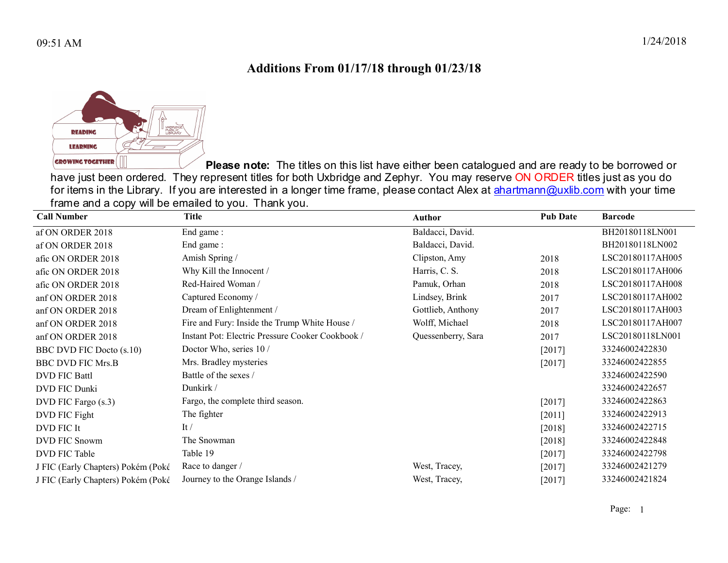## Additions From 01/17/18 through 01/23/18



Please note: The titles on this list have either been catalogued and are ready to be borrowed or have just been ordered. They represent titles for both Uxbridge and Zephyr. You may reserve ON ORDER titles just as you do for items in the Library. If you are interested in a longer time frame, please contact Alex at ahartmann@uxlib.com with your time frame and a copy will be emailed to you. Thank you.

| <b>Call Number</b>                 | Title                                            | <b>Author</b>      | <b>Pub Date</b> | <b>Barcode</b>   |
|------------------------------------|--------------------------------------------------|--------------------|-----------------|------------------|
| af ON ORDER 2018                   | End game:                                        | Baldacci, David.   |                 | BH20180118LN001  |
| af ON ORDER 2018                   | End game:                                        | Baldacci, David.   |                 | BH20180118LN002  |
| afic ON ORDER 2018                 | Amish Spring /                                   | Clipston, Amy      | 2018            | LSC20180117AH005 |
| afic ON ORDER 2018                 | Why Kill the Innocent /                          | Harris, C. S.      | 2018            | LSC20180117AH006 |
| afic ON ORDER 2018                 | Red-Haired Woman /                               | Pamuk, Orhan       | 2018            | LSC20180117AH008 |
| anf ON ORDER 2018                  | Captured Economy /                               | Lindsey, Brink     | 2017            | LSC20180117AH002 |
| anf ON ORDER 2018                  | Dream of Enlightenment /                         | Gottlieb, Anthony  | 2017            | LSC20180117AH003 |
| anf ON ORDER 2018                  | Fire and Fury: Inside the Trump White House /    | Wolff, Michael     | 2018            | LSC20180117AH007 |
| anf ON ORDER 2018                  | Instant Pot: Electric Pressure Cooker Cookbook / | Quessenberry, Sara | 2017            | LSC20180118LN001 |
| <b>BBC DVD FIC Docto (s.10)</b>    | Doctor Who, series 10/                           |                    | [2017]          | 33246002422830   |
| <b>BBC DVD FIC Mrs.B</b>           | Mrs. Bradley mysteries                           |                    | $[2017]$        | 33246002422855   |
| <b>DVD FIC Battl</b>               | Battle of the sexes /                            |                    |                 | 33246002422590   |
| DVD FIC Dunki                      | Dunkirk /                                        |                    |                 | 33246002422657   |
| DVD FIC Fargo (s.3)                | Fargo, the complete third season.                |                    | [2017]          | 33246002422863   |
| DVD FIC Fight                      | The fighter                                      |                    | $[2011]$        | 33246002422913   |
| DVD FIC It                         | $\mathrm{It}$ /                                  |                    | [2018]          | 33246002422715   |
| DVD FIC Snowm                      | The Snowman                                      |                    | [2018]          | 33246002422848   |
| DVD FIC Table                      | Table 19                                         |                    | [2017]          | 33246002422798   |
| J FIC (Early Chapters) Pokém (Poké | Race to danger /                                 | West, Tracey,      | $[2017]$        | 33246002421279   |
| J FIC (Early Chapters) Pokém (Poké | Journey to the Orange Islands /                  | West, Tracey,      | [2017]          | 33246002421824   |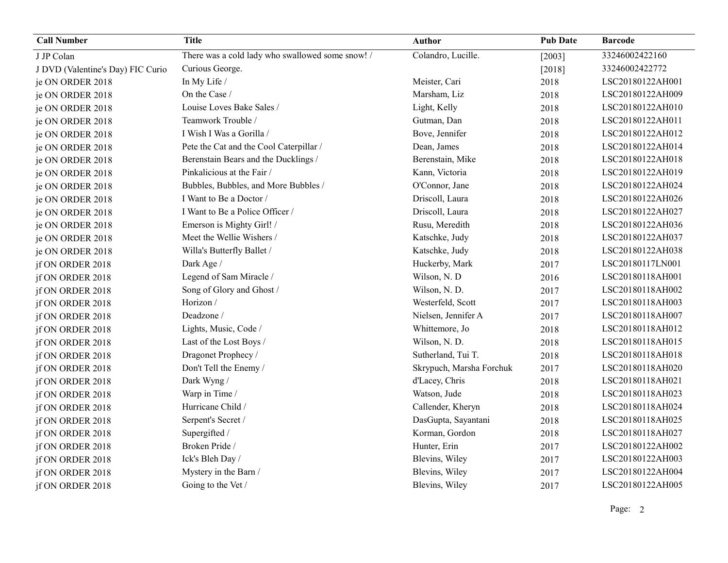| <b>Call Number</b>                | <b>Title</b>                                     | <b>Author</b>            | <b>Pub Date</b> | <b>Barcode</b>   |
|-----------------------------------|--------------------------------------------------|--------------------------|-----------------|------------------|
| J JP Colan                        | There was a cold lady who swallowed some snow! / | Colandro, Lucille.       | $[2003]$        | 33246002422160   |
| J DVD (Valentine's Day) FIC Curio | Curious George.                                  |                          | $[2018]$        | 33246002422772   |
| je ON ORDER 2018                  | In My Life /                                     | Meister, Cari            | 2018            | LSC20180122AH001 |
| je ON ORDER 2018                  | On the Case /                                    | Marsham, Liz             | 2018            | LSC20180122AH009 |
| je ON ORDER 2018                  | Louise Loves Bake Sales /                        | Light, Kelly             | 2018            | LSC20180122AH010 |
| je ON ORDER 2018                  | Teamwork Trouble /                               | Gutman, Dan              | 2018            | LSC20180122AH011 |
| je ON ORDER 2018                  | I Wish I Was a Gorilla /                         | Bove, Jennifer           | 2018            | LSC20180122AH012 |
| je ON ORDER 2018                  | Pete the Cat and the Cool Caterpillar /          | Dean, James              | 2018            | LSC20180122AH014 |
| je ON ORDER 2018                  | Berenstain Bears and the Ducklings /             | Berenstain, Mike         | 2018            | LSC20180122AH018 |
| je ON ORDER 2018                  | Pinkalicious at the Fair /                       | Kann, Victoria           | 2018            | LSC20180122AH019 |
| je ON ORDER 2018                  | Bubbles, Bubbles, and More Bubbles /             | O'Connor, Jane           | 2018            | LSC20180122AH024 |
| je ON ORDER 2018                  | I Want to Be a Doctor /                          | Driscoll, Laura          | 2018            | LSC20180122AH026 |
| je ON ORDER 2018                  | I Want to Be a Police Officer /                  | Driscoll, Laura          | 2018            | LSC20180122AH027 |
| je ON ORDER 2018                  | Emerson is Mighty Girl! /                        | Rusu, Meredith           | 2018            | LSC20180122AH036 |
| je ON ORDER 2018                  | Meet the Wellie Wishers /                        | Katschke, Judy           | 2018            | LSC20180122AH037 |
| je ON ORDER 2018                  | Willa's Butterfly Ballet /                       | Katschke, Judy           | 2018            | LSC20180122AH038 |
| jf ON ORDER 2018                  | Dark Age /                                       | Huckerby, Mark           | 2017            | LSC20180117LN001 |
| jf ON ORDER 2018                  | Legend of Sam Miracle /                          | Wilson, N.D              | 2016            | LSC20180118AH001 |
| jf ON ORDER 2018                  | Song of Glory and Ghost /                        | Wilson, N. D.            | 2017            | LSC20180118AH002 |
| jf ON ORDER 2018                  | Horizon /                                        | Westerfeld, Scott        | 2017            | LSC20180118AH003 |
| jf ON ORDER 2018                  | Deadzone /                                       | Nielsen, Jennifer A      | 2017            | LSC20180118AH007 |
| jf ON ORDER 2018                  | Lights, Music, Code /                            | Whittemore, Jo           | 2018            | LSC20180118AH012 |
| jf ON ORDER 2018                  | Last of the Lost Boys /                          | Wilson, N. D.            | 2018            | LSC20180118AH015 |
| jf ON ORDER 2018                  | Dragonet Prophecy /                              | Sutherland, Tui T.       | 2018            | LSC20180118AH018 |
| jf ON ORDER 2018                  | Don't Tell the Enemy /                           | Skrypuch, Marsha Forchuk | 2017            | LSC20180118AH020 |
| jf ON ORDER 2018                  | Dark Wyng /                                      | d'Lacey, Chris           | 2018            | LSC20180118AH021 |
| jf ON ORDER 2018                  | Warp in Time /                                   | Watson, Jude             | 2018            | LSC20180118AH023 |
| jf ON ORDER 2018                  | Hurricane Child /                                | Callender, Kheryn        | 2018            | LSC20180118AH024 |
| jf ON ORDER 2018                  | Serpent's Secret /                               | DasGupta, Sayantani      | 2018            | LSC20180118AH025 |
| jf ON ORDER 2018                  | Supergifted /                                    | Korman, Gordon           | 2018            | LSC20180118AH027 |
| jf ON ORDER 2018                  | Broken Pride /                                   | Hunter, Erin             | 2017            | LSC20180122AH002 |
| jf ON ORDER 2018                  | Ick's Bleh Day /                                 | Blevins, Wiley           | 2017            | LSC20180122AH003 |
| jf ON ORDER 2018                  | Mystery in the Barn /                            | Blevins, Wiley           | 2017            | LSC20180122AH004 |
| jf ON ORDER 2018                  | Going to the Vet /                               | Blevins, Wiley           | 2017            | LSC20180122AH005 |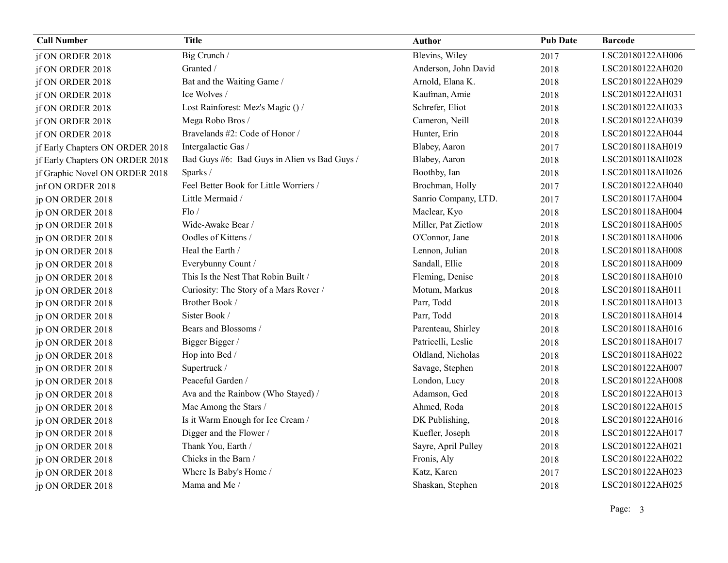| <b>Call Number</b>              | <b>Title</b>                                 | <b>Author</b>        | <b>Pub Date</b> | <b>Barcode</b>   |
|---------------------------------|----------------------------------------------|----------------------|-----------------|------------------|
| jf ON ORDER 2018                | Big Crunch /                                 | Blevins, Wiley       | 2017            | LSC20180122AH006 |
| jf ON ORDER 2018                | Granted /                                    | Anderson, John David | 2018            | LSC20180122AH020 |
| jf ON ORDER 2018                | Bat and the Waiting Game /                   | Arnold, Elana K.     | 2018            | LSC20180122AH029 |
| jf ON ORDER 2018                | Ice Wolves /                                 | Kaufman, Amie        | 2018            | LSC20180122AH031 |
| jf ON ORDER 2018                | Lost Rainforest: Mez's Magic () /            | Schrefer, Eliot      | 2018            | LSC20180122AH033 |
| jf ON ORDER 2018                | Mega Robo Bros /                             | Cameron, Neill       | 2018            | LSC20180122AH039 |
| jf ON ORDER 2018                | Bravelands #2: Code of Honor /               | Hunter, Erin         | 2018            | LSC20180122AH044 |
| jf Early Chapters ON ORDER 2018 | Intergalactic Gas /                          | Blabey, Aaron        | 2017            | LSC20180118AH019 |
| jf Early Chapters ON ORDER 2018 | Bad Guys #6: Bad Guys in Alien vs Bad Guys / | Blabey, Aaron        | 2018            | LSC20180118AH028 |
| jf Graphic Novel ON ORDER 2018  | Sparks /                                     | Boothby, Ian         | 2018            | LSC20180118AH026 |
| jnf ON ORDER 2018               | Feel Better Book for Little Worriers /       | Brochman, Holly      | 2017            | LSC20180122AH040 |
| jp ON ORDER 2018                | Little Mermaid /                             | Sanrio Company, LTD. | 2017            | LSC20180117AH004 |
| jp ON ORDER 2018                | Flo/                                         | Maclear, Kyo         | 2018            | LSC20180118AH004 |
| jp ON ORDER 2018                | Wide-Awake Bear /                            | Miller, Pat Zietlow  | 2018            | LSC20180118AH005 |
| ip ON ORDER 2018                | Oodles of Kittens /                          | O'Connor, Jane       | 2018            | LSC20180118AH006 |
| ip ON ORDER 2018                | Heal the Earth /                             | Lennon, Julian       | 2018            | LSC20180118AH008 |
| jp ON ORDER 2018                | Everybunny Count /                           | Sandall, Ellie       | 2018            | LSC20180118AH009 |
| ip ON ORDER 2018                | This Is the Nest That Robin Built /          | Fleming, Denise      | 2018            | LSC20180118AH010 |
| ip ON ORDER 2018                | Curiosity: The Story of a Mars Rover /       | Motum, Markus        | 2018            | LSC20180118AH011 |
| ip ON ORDER 2018                | Brother Book /                               | Parr, Todd           | 2018            | LSC20180118AH013 |
| jp ON ORDER 2018                | Sister Book /                                | Parr, Todd           | 2018            | LSC20180118AH014 |
| jp ON ORDER 2018                | Bears and Blossoms /                         | Parenteau, Shirley   | 2018            | LSC20180118AH016 |
| jp ON ORDER 2018                | Bigger Bigger /                              | Patricelli, Leslie   | 2018            | LSC20180118AH017 |
| ip ON ORDER 2018                | Hop into Bed /                               | Oldland, Nicholas    | 2018            | LSC20180118AH022 |
| jp ON ORDER 2018                | Supertruck /                                 | Savage, Stephen      | 2018            | LSC20180122AH007 |
| jp ON ORDER 2018                | Peaceful Garden /                            | London, Lucy         | 2018            | LSC20180122AH008 |
| ip ON ORDER 2018                | Ava and the Rainbow (Who Stayed) /           | Adamson, Ged         | 2018            | LSC20180122AH013 |
| jp ON ORDER 2018                | Mae Among the Stars /                        | Ahmed, Roda          | 2018            | LSC20180122AH015 |
| jp ON ORDER 2018                | Is it Warm Enough for Ice Cream /            | DK Publishing,       | 2018            | LSC20180122AH016 |
| jp ON ORDER 2018                | Digger and the Flower /                      | Kuefler, Joseph      | 2018            | LSC20180122AH017 |
| jp ON ORDER 2018                | Thank You, Earth /                           | Sayre, April Pulley  | 2018            | LSC20180122AH021 |
| jp ON ORDER 2018                | Chicks in the Barn /                         | Fronis, Aly          | 2018            | LSC20180122AH022 |
| jp ON ORDER 2018                | Where Is Baby's Home /                       | Katz, Karen          | 2017            | LSC20180122AH023 |
| jp ON ORDER 2018                | Mama and Me /                                | Shaskan, Stephen     | 2018            | LSC20180122AH025 |